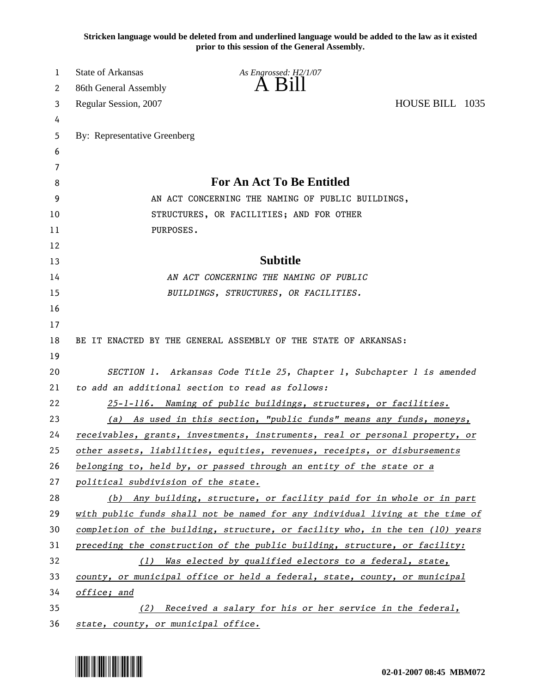**Stricken language would be deleted from and underlined language would be added to the law as it existed prior to this session of the General Assembly.**

| 1  | <b>State of Arkansas</b>                                                      | As Engrossed: H2/1/07                                                 |                 |  |  |
|----|-------------------------------------------------------------------------------|-----------------------------------------------------------------------|-----------------|--|--|
| 2  | 86th General Assembly                                                         | $\overline{A}$ $\overline{B}1$                                        |                 |  |  |
| 3  | Regular Session, 2007                                                         |                                                                       | HOUSE BILL 1035 |  |  |
| 4  |                                                                               |                                                                       |                 |  |  |
| 5  | By: Representative Greenberg                                                  |                                                                       |                 |  |  |
| 6  |                                                                               |                                                                       |                 |  |  |
| 7  |                                                                               |                                                                       |                 |  |  |
| 8  | <b>For An Act To Be Entitled</b>                                              |                                                                       |                 |  |  |
| 9  | AN ACT CONCERNING THE NAMING OF PUBLIC BUILDINGS,                             |                                                                       |                 |  |  |
| 10 | STRUCTURES, OR FACILITIES; AND FOR OTHER                                      |                                                                       |                 |  |  |
| 11 | PURPOSES.                                                                     |                                                                       |                 |  |  |
| 12 |                                                                               |                                                                       |                 |  |  |
| 13 |                                                                               | <b>Subtitle</b>                                                       |                 |  |  |
| 14 | AN ACT CONCERNING THE NAMING OF PUBLIC                                        |                                                                       |                 |  |  |
| 15 |                                                                               | BUILDINGS, STRUCTURES, OR FACILITIES.                                 |                 |  |  |
| 16 |                                                                               |                                                                       |                 |  |  |
| 17 |                                                                               |                                                                       |                 |  |  |
| 18 |                                                                               | BE IT ENACTED BY THE GENERAL ASSEMBLY OF THE STATE OF ARKANSAS:       |                 |  |  |
| 19 |                                                                               |                                                                       |                 |  |  |
| 20 | SECTION 1. Arkansas Code Title 25, Chapter 1, Subchapter 1 is amended         |                                                                       |                 |  |  |
| 21 | to add an additional section to read as follows:                              |                                                                       |                 |  |  |
| 22 |                                                                               | 25-1-116. Naming of public buildings, structures, or facilities.      |                 |  |  |
| 23 | (a) As used in this section, "public funds" means any funds, moneys,          |                                                                       |                 |  |  |
| 24 | receivables, grants, investments, instruments, real or personal property, or  |                                                                       |                 |  |  |
| 25 | other assets, liabilities, equities, revenues, receipts, or disbursements     |                                                                       |                 |  |  |
| 26 |                                                                               | belonging to, held by, or passed through an entity of the state or a  |                 |  |  |
| 27 | political subdivision of the state.                                           |                                                                       |                 |  |  |
| 28 |                                                                               | (b) Any building, structure, or facility paid for in whole or in part |                 |  |  |
| 29 | with public funds shall not be named for any individual living at the time of |                                                                       |                 |  |  |
| 30 | completion of the building, structure, or facility who, in the ten (10) years |                                                                       |                 |  |  |
| 31 | preceding the construction of the public building, structure, or facility:    |                                                                       |                 |  |  |
| 32 | (1) Was elected by qualified electors to a federal, state,                    |                                                                       |                 |  |  |
| 33 | county, or municipal office or held a federal, state, county, or municipal    |                                                                       |                 |  |  |
| 34 | office; and                                                                   |                                                                       |                 |  |  |
| 35 | Received a salary for his or her service in the federal,<br>(2)               |                                                                       |                 |  |  |
| 36 | state, county, or municipal office.                                           |                                                                       |                 |  |  |